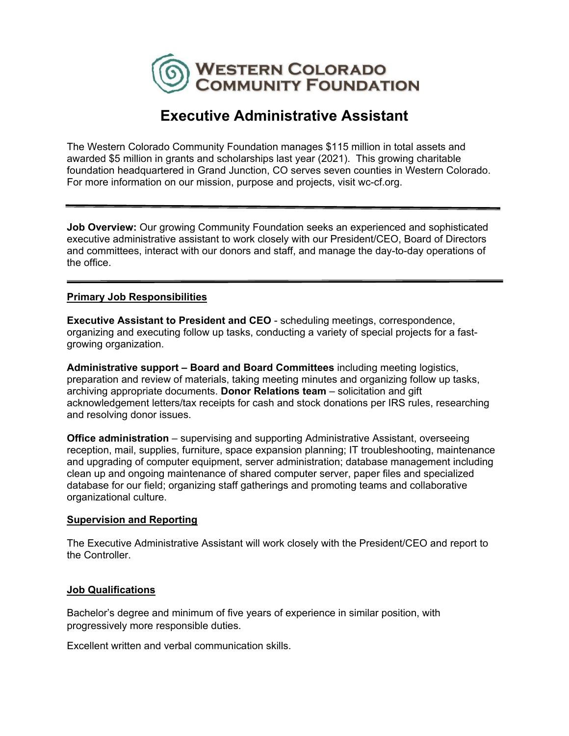

# **Executive Administrative Assistant**

The Western Colorado Community Foundation manages \$115 million in total assets and awarded \$5 million in grants and scholarships last year (2021). This growing charitable foundation headquartered in Grand Junction, CO serves seven counties in Western Colorado. For more information on our mission, purpose and projects, visit wc-cf.org.

**Job Overview:** Our growing Community Foundation seeks an experienced and sophisticated executive administrative assistant to work closely with our President/CEO, Board of Directors and committees, interact with our donors and staff, and manage the day-to-day operations of the office.

# **Primary Job Responsibilities**

**Executive Assistant to President and CEO** - scheduling meetings, correspondence, organizing and executing follow up tasks, conducting a variety of special projects for a fastgrowing organization.

**Administrative support – Board and Board Committees** including meeting logistics, preparation and review of materials, taking meeting minutes and organizing follow up tasks, archiving appropriate documents. **Donor Relations team** – solicitation and gift acknowledgement letters/tax receipts for cash and stock donations per IRS rules, researching and resolving donor issues.

**Office administration** – supervising and supporting Administrative Assistant, overseeing reception, mail, supplies, furniture, space expansion planning; IT troubleshooting, maintenance and upgrading of computer equipment, server administration; database management including clean up and ongoing maintenance of shared computer server, paper files and specialized database for our field; organizing staff gatherings and promoting teams and collaborative organizational culture.

#### **Supervision and Reporting**

The Executive Administrative Assistant will work closely with the President/CEO and report to the Controller.

#### **Job Qualifications**

Bachelor's degree and minimum of five years of experience in similar position, with progressively more responsible duties.

Excellent written and verbal communication skills.